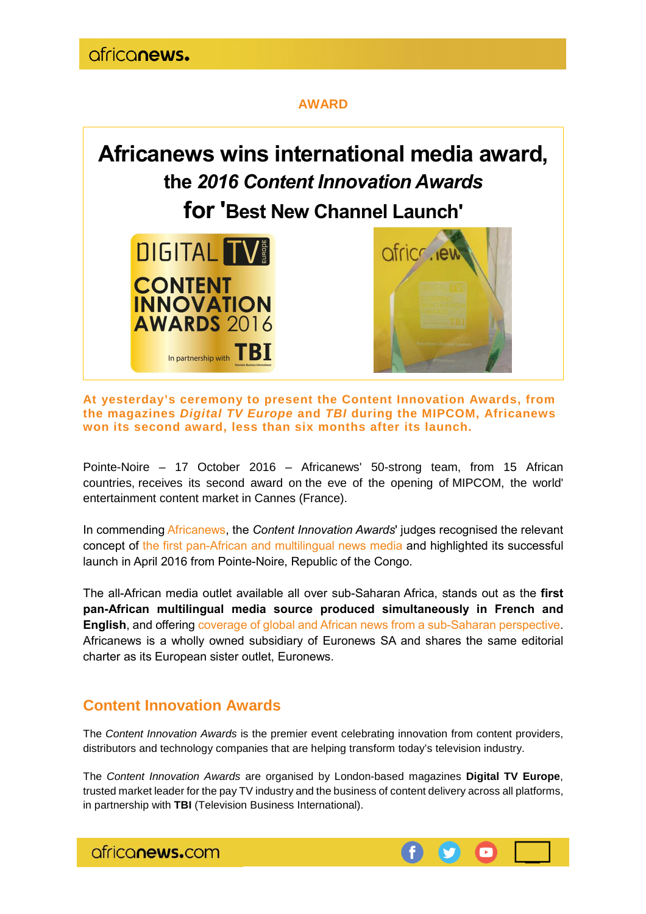## **AWARD**



**At yesterday's ceremony to present the Content Innovation Awards, from the magazines Digital TV Europe and TBI during the MIPCOM, Africanews won its second award, less than six months after its launch.** 

Pointe-Noire – 17 October 2016 – Africanews' 50-strong team, from 15 African countries, receives its second award on the eve of the opening of MIPCOM, the world' entertainment content market in Cannes (France).

In commending Africanews, the *Content Innovation Awards*' judges recognised the relevant concept of the first pan-African and multilingual news media and highlighted its successful launch in April 2016 from Pointe-Noire, Republic of the Congo.

The all-African media outlet available all over sub-Saharan Africa, stands out as the **first pan-African multilingual media source produced simultaneously in French and English**, and offering coverage of global and African news from a sub-Saharan perspective. Africanews is a wholly owned subsidiary of Euronews SA and shares the same editorial charter as its European sister outlet, Euronews.

## **Content Innovation Awards**

The Content Innovation Awards is the premier event celebrating innovation from content providers, distributors and technology companies that are helping transform today's television industry.

The Content Innovation Awards are organised by London-based magazines **Digital TV Europe**, trusted market leader for the pay TV industry and the business of content delivery across all platforms, in partnership with **TBI** (Television Business International).